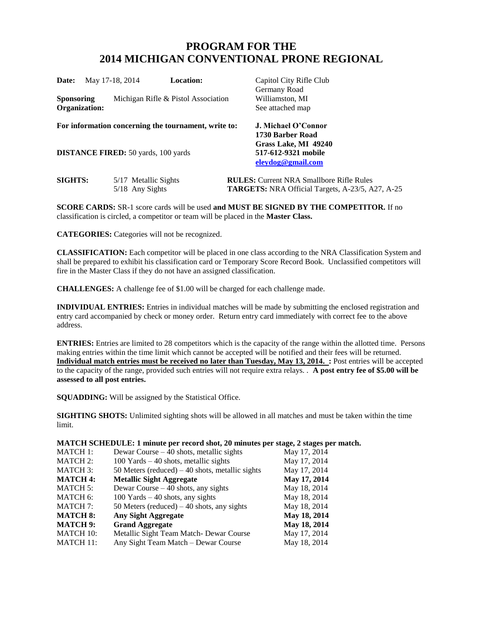## **PROGRAM FOR THE 2014 MICHIGAN CONVENTIONAL PRONE REGIONAL**

| <b>Date:</b>                | May 17-18, 2014                            | <b>Location:</b>                                     | Capitol City Rifle Club<br>Germany Road                                                                    |
|-----------------------------|--------------------------------------------|------------------------------------------------------|------------------------------------------------------------------------------------------------------------|
| Sponsoring<br>Organization: |                                            | Michigan Rifle & Pistol Association                  | Williamston, MI<br>See attached map                                                                        |
|                             |                                            | For information concerning the tournament, write to: | J. Michael O'Connor                                                                                        |
|                             | <b>DISTANCE FIRED:</b> 50 yards, 100 yards |                                                      | 1730 Barber Road<br>Grass Lake, MI 49240<br>517-612-9321 mobile<br>eleydog@gmail.com                       |
| <b>SIGHTS:</b>              | 5/17 Metallic Sights<br>$5/18$ Any Sights  |                                                      | <b>RULES:</b> Current NRA Smallbore Rifle Rules<br><b>TARGETS:</b> NRA Official Targets, A-23/5, A27, A-25 |

**SCORE CARDS:** SR-1 score cards will be used **and MUST BE SIGNED BY THE COMPETITOR.** If no classification is circled, a competitor or team will be placed in the **Master Class.** 

**CATEGORIES:** Categories will not be recognized.

**CLASSIFICATION:** Each competitor will be placed in one class according to the NRA Classification System and shall be prepared to exhibit his classification card or Temporary Score Record Book. Unclassified competitors will fire in the Master Class if they do not have an assigned classification.

**CHALLENGES:** A challenge fee of \$1.00 will be charged for each challenge made.

**INDIVIDUAL ENTRIES:** Entries in individual matches will be made by submitting the enclosed registration and entry card accompanied by check or money order. Return entry card immediately with correct fee to the above address.

**ENTRIES:** Entries are limited to 28 competitors which is the capacity of the range within the allotted time. Persons making entries within the time limit which cannot be accepted will be notified and their fees will be returned. **Individual match entries must be received no later than Tuesday, May 13, 2014. :** Post entries will be accepted to the capacity of the range, provided such entries will not require extra relays. . **A post entry fee of \$5.00 will be assessed to all post entries.**

**SQUADDING:** Will be assigned by the Statistical Office.

**SIGHTING SHOTS:** Unlimited sighting shots will be allowed in all matches and must be taken within the time limit.

**MATCH SCHEDULE: 1 minute per record shot, 20 minutes per stage, 2 stages per match.**

| <b>MATCH 1:</b>  | Dewar Course $-40$ shots, metallic sights        | May 17, 2014 |
|------------------|--------------------------------------------------|--------------|
| <b>MATCH 2:</b>  | $100$ Yards $-40$ shots, metallic sights         | May 17, 2014 |
| <b>MATCH 3:</b>  | 50 Meters (reduced) $-40$ shots, metallic sights | May 17, 2014 |
| <b>MATCH 4:</b>  | <b>Metallic Sight Aggregate</b>                  | May 17, 2014 |
| <b>MATCH 5:</b>  | Dewar Course $-40$ shots, any sights             | May 18, 2014 |
| MATCH 6:         | $100$ Yards $-40$ shots, any sights              | May 18, 2014 |
| <b>MATCH 7:</b>  | 50 Meters (reduced) $-40$ shots, any sights      | May 18, 2014 |
| <b>MATCH 8:</b>  | <b>Any Sight Aggregate</b>                       | May 18, 2014 |
| <b>MATCH 9:</b>  | <b>Grand Aggregate</b>                           | May 18, 2014 |
| <b>MATCH 10:</b> | Metallic Sight Team Match- Dewar Course          | May 17, 2014 |
| <b>MATCH 11:</b> | Any Sight Team Match - Dewar Course              | May 18, 2014 |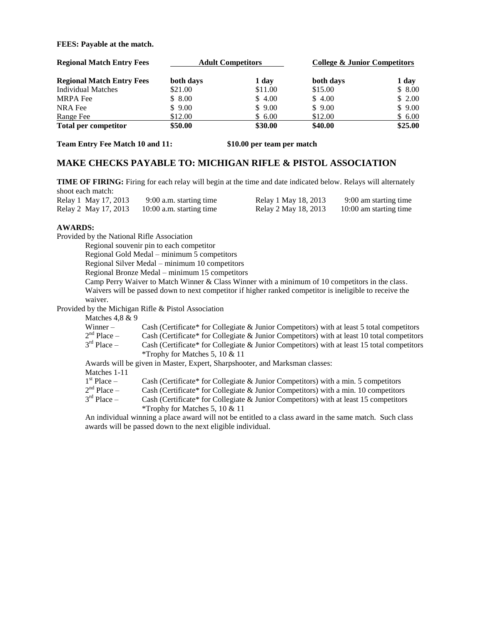**FEES: Payable at the match.**

| <b>Regional Match Entry Fees</b> | <b>Adult Competitors</b> |         | College & Junior Competitors |         |
|----------------------------------|--------------------------|---------|------------------------------|---------|
| <b>Regional Match Entry Fees</b> | both days                | 1 day   | both days                    | 1 day   |
| <b>Individual Matches</b>        | \$21.00                  | \$11.00 | \$15.00                      | \$8.00  |
| <b>MRPA</b> Fee                  | \$8.00                   | \$4.00  | \$4.00                       | \$2.00  |
| NRA Fee                          | \$9.00                   | \$9.00  | \$9.00                       | \$9.00  |
| Range Fee                        | \$12.00                  | \$6.00  | \$12.00                      | \$6.00  |
| <b>Total per competitor</b>      | \$50.00                  | \$30.00 | \$40.00                      | \$25.00 |

**Team Entry Fee Match 10 and 11: \$10.00 per team per match**

## **MAKE CHECKS PAYABLE TO: MICHIGAN RIFLE & PISTOL ASSOCIATION**

**TIME OF FIRING:** Firing for each relay will begin at the time and date indicated below. Relays will alternately shoot each match:

| <b>SHOOT CACH HHAWII.</b> |                            |                      |                        |
|---------------------------|----------------------------|----------------------|------------------------|
| Relay 1 May 17, 2013      | 9:00 a.m. starting time    | Relay 1 May 18, 2013 | 9:00 am starting time  |
| Relay 2 May 17, 2013      | $10:00$ a.m. starting time | Relay 2 May 18, 2013 | 10:00 am starting time |

## **AWARDS:**

Provided by the National Rifle Association

Regional souvenir pin to each competitor

Regional Gold Medal – minimum 5 competitors

Regional Silver Medal – minimum 10 competitors

Regional Bronze Medal – minimum 15 competitors

Camp Perry Waiver to Match Winner & Class Winner with a minimum of 10 competitors in the class. Waivers will be passed down to next competitor if higher ranked competitor is ineligible to receive the waiver.

Provided by the Michigan Rifle & Pistol Association

Matches  $4.8 \& 9$ 

| Winner –                  | Cash (Certificate* for Collegiate & Junior Competitors) with at least 5 total competitors  |
|---------------------------|--------------------------------------------------------------------------------------------|
| $2nd$ Place $-$           | Cash (Certificate* for Collegiate & Junior Competitors) with at least 10 total competitors |
| $3^{\text{rd}}$ Place $-$ | Cash (Certificate* for Collegiate & Junior Competitors) with at least 15 total competitors |
|                           | *Trophy for Matches 5, 10 $& 11$                                                           |
|                           | Awards will be given in Master, Expert, Sharpshooter, and Marksman classes:                |
| Matches 1-11              |                                                                                            |
| $1st Place -$             | Cash (Certificate* for Collegiate & Junior Competitors) with a min. 5 competitors          |
| $2nd$ Place $-$           | Cash (Certificate* for Collegiate & Junior Competitors) with a min. 10 competitors         |
| $3rd$ Place $-$           | Cash (Certificate* for Collegiate & Junior Competitors) with at least 15 competitors       |
|                           | *Trophy for Matches 5, 10 $& 11$                                                           |

An individual winning a place award will not be entitled to a class award in the same match. Such class awards will be passed down to the next eligible individual.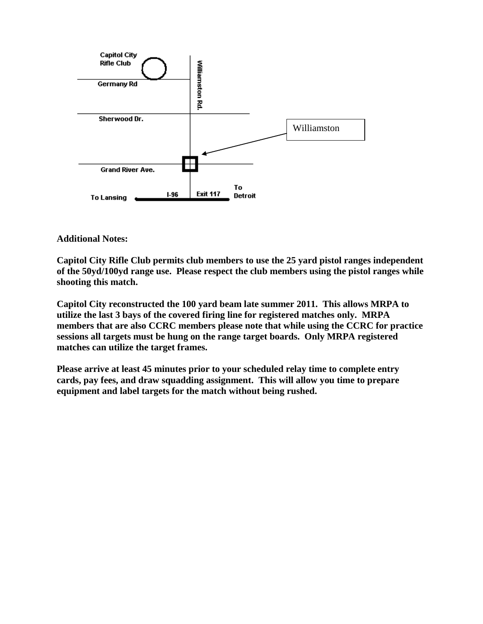

**Additional Notes:**

**Capitol City Rifle Club permits club members to use the 25 yard pistol ranges independent of the 50yd/100yd range use. Please respect the club members using the pistol ranges while shooting this match.**

**Capitol City reconstructed the 100 yard beam late summer 2011. This allows MRPA to utilize the last 3 bays of the covered firing line for registered matches only. MRPA members that are also CCRC members please note that while using the CCRC for practice sessions all targets must be hung on the range target boards. Only MRPA registered matches can utilize the target frames.**

**Please arrive at least 45 minutes prior to your scheduled relay time to complete entry cards, pay fees, and draw squadding assignment. This will allow you time to prepare equipment and label targets for the match without being rushed.**